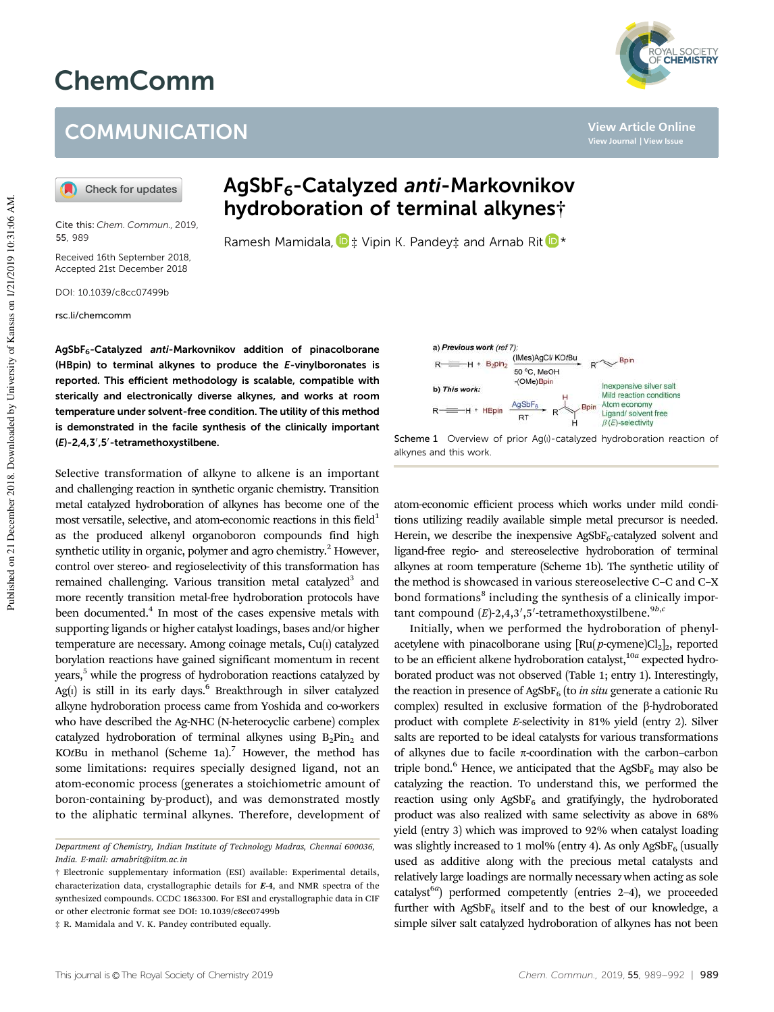## ChemComm

## **COMMUNICATION**

Check for updates

Cite this: *Chem. Commun.,* 2019, 55, 989

Received 16th September 2018, Accepted 21st December 2018

DOI: 10.1039/c8cc07499b

rsc.li/chemcomm

AgSbF6-Catalyzed anti-Markovnikov hydroboration of terminal alkynes†

Ramesh Mamidala,  $\mathbf{D}$   $\ddagger$  Vipin K. Pandey $\ddagger$  and Arnab Rit  $\mathbf{D}$  \*

AgSbF6-Catalyzed anti-Markovnikov addition of pinacolborane (HBpin) to terminal alkynes to produce the E-vinylboronates is reported. This efficient methodology is scalable, compatible with sterically and electronically diverse alkynes, and works at room temperature under solvent-free condition. The utility of this method is demonstrated in the facile synthesis of the clinically important (E)-2,4,3',5'-tetramethoxystilbene.

Selective transformation of alkyne to alkene is an important and challenging reaction in synthetic organic chemistry. Transition metal catalyzed hydroboration of alkynes has become one of the most versatile, selective, and atom-economic reactions in this field $1$ as the produced alkenyl organoboron compounds find high synthetic utility in organic, polymer and agro chemistry. $<sup>2</sup>$  However,</sup> control over stereo- and regioselectivity of this transformation has remained challenging. Various transition metal catalyzed<sup>3</sup> and more recently transition metal-free hydroboration protocols have been documented.<sup>4</sup> In most of the cases expensive metals with supporting ligands or higher catalyst loadings, bases and/or higher temperature are necessary. Among coinage metals, Cu(I) catalyzed borylation reactions have gained significant momentum in recent years,<sup>5</sup> while the progress of hydroboration reactions catalyzed by Ag(1) is still in its early days.<sup>6</sup> Breakthrough in silver catalyzed alkyne hydroboration process came from Yoshida and co-workers who have described the Ag-NHC (N-heterocyclic carbene) complex catalyzed hydroboration of terminal alkynes using  $B_2$ Pin<sub>2</sub> and KOtBu in methanol (Scheme 1a).<sup>7</sup> However, the method has some limitations: requires specially designed ligand, not an atom-economic process (generates a stoichiometric amount of boron-containing by-product), and was demonstrated mostly to the aliphatic terminal alkynes. Therefore, development of



Scheme 1 Overview of prior Ag(I)-catalyzed hydroboration reaction of alkynes and this work.

atom-economic efficient process which works under mild conditions utilizing readily available simple metal precursor is needed. Herein, we describe the inexpensive AgSb $F_6$ -catalyzed solvent and ligand-free regio- and stereoselective hydroboration of terminal alkynes at room temperature (Scheme 1b). The synthetic utility of the method is showcased in various stereoselective C–C and C–X bond formations<sup>8</sup> including the synthesis of a clinically important compound  $(E)$ -2,4,3',5'-tetramethoxystilbene.<sup>9b,*c*</sup>

Initially, when we performed the hydroboration of phenylacetylene with pinacolborane using [Ru(p-cymene)Cl<sub>2</sub>]<sub>2</sub>, reported to be an efficient alkene hydroboration catalyst,<sup>10a</sup> expected hydroborated product was not observed (Table 1; entry 1). Interestingly, the reaction in presence of AgSbF<sub>6</sub> (to *in situ* generate a cationic Ru complex) resulted in exclusive formation of the  $\beta$ -hydroborated product with complete *E*-selectivity in 81% yield (entry 2). Silver salts are reported to be ideal catalysts for various transformations of alkynes due to facile  $\pi$ -coordination with the carbon-carbon triple bond.<sup>6</sup> Hence, we anticipated that the AgSbF<sub>6</sub> may also be catalyzing the reaction. To understand this, we performed the reaction using only  $AgSbF_6$  and gratifyingly, the hydroborated product was also realized with same selectivity as above in 68% yield (entry 3) which was improved to 92% when catalyst loading was slightly increased to 1 mol% (entry 4). As only AgSbF<sub>6</sub> (usually used as additive along with the precious metal catalysts and relatively large loadings are normally necessary when acting as sole catalyst<sup>6*a*</sup>) performed competently (entries 2-4), we proceeded further with  $AgSbF_6$  itself and to the best of our knowledge, a simple silver salt catalyzed hydroboration of alkynes has not been



**View Article Online View Journal | View Issue**

*Department of Chemistry, Indian Institute of Technology Madras, Chennai 600036, India. E-mail: arnabrit@iitm.ac.in*

<sup>†</sup> Electronic supplementary information (ESI) available: Experimental details, characterization data, crystallographic details for E-4, and NMR spectra of the synthesized compounds. CCDC 1863300. For ESI and crystallographic data in CIF or other electronic format see DOI: 10.1039/c8cc07499b

<sup>‡</sup> R. Mamidala and V. K. Pandey contributed equally.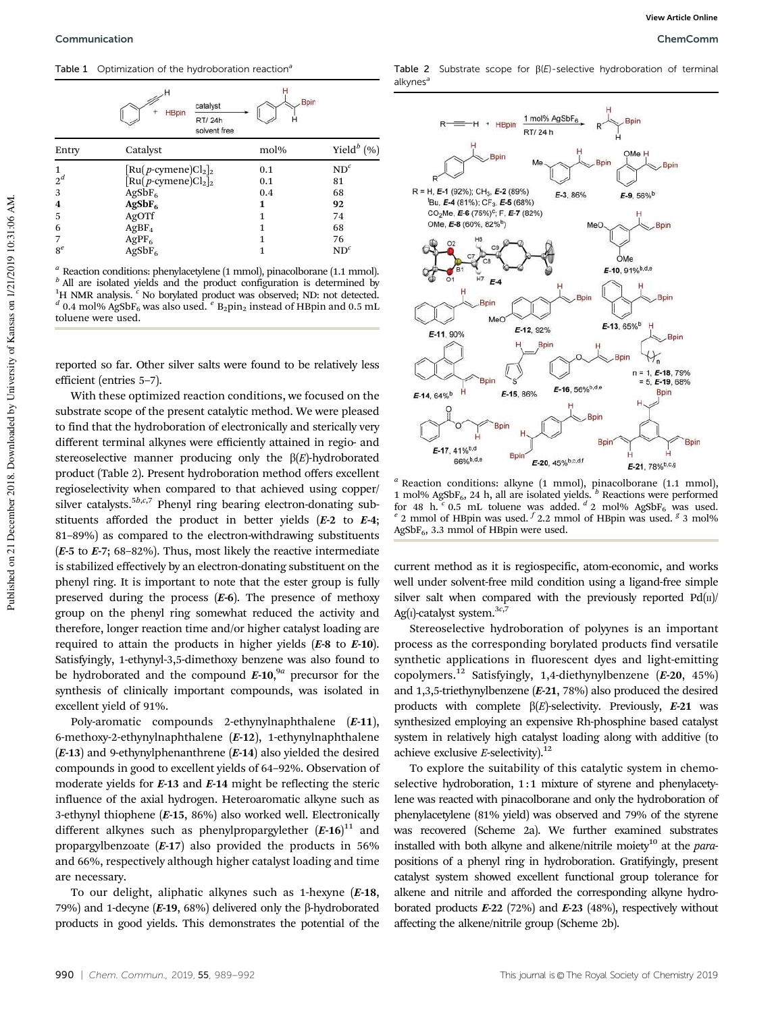Table 1 Optimization of the hydroboration reactions



*a* Reaction conditions: phenylacetylene  $(1 \text{ mmol})$ , pinacolborane  $(1.1 \text{ mmol})$ .<br>*b* All are isolated vields and the product configuration is determined by All are isolated yields and the product configuration is determined by <sup>1</sup>H NMR analysis.<sup>*c*</sup> No borylated product was observed; ND: not detected. <sup>*d*</sup> 0.4 mol% AgSbF<sub>6</sub> was also used. <sup>*e*</sup> B<sub>2</sub>pin<sub>2</sub> instead of HBpin and 0.5 mL toluene were used.

reported so far. Other silver salts were found to be relatively less efficient (entries 5–7).

With these optimized reaction conditions, we focused on the substrate scope of the present catalytic method. We were pleased to find that the hydroboration of electronically and sterically very different terminal alkynes were efficiently attained in regio- and stereoselective manner producing only the  $\beta(E)$ -hydroborated product (Table 2). Present hydroboration method offers excellent regioselectivity when compared to that achieved using copper/ silver catalysts.<sup>5*b*,*c*,7</sup> Phenyl ring bearing electron-donating substituents afforded the product in better yields  $(E-2)$  to  $E-4$ ; 81–89%) as compared to the electron-withdrawing substituents ( $E$ -5 to  $E$ -7; 68-82%). Thus, most likely the reactive intermediate is stabilized effectively by an electron-donating substituent on the phenyl ring. It is important to note that the ester group is fully preserved during the process  $(E-6)$ . The presence of methoxy group on the phenyl ring somewhat reduced the activity and therefore, longer reaction time and/or higher catalyst loading are required to attain the products in higher yields  $(E-8$  to  $E-10)$ . Satisfyingly, 1-ethynyl-3,5-dimethoxy benzene was also found to be hydroborated and the compound  $E$ -10,<sup>9*a*</sup> precursor for the synthesis of clinically important compounds, was isolated in excellent yield of 91%.

Poly-aromatic compounds 2-ethynylnaphthalene (E-11), 6-methoxy-2-ethynylnaphthalene (E-12), 1-ethynylnaphthalene  $(E-13)$  and 9-ethynylphenanthrene  $(E-14)$  also yielded the desired compounds in good to excellent yields of 64–92%. Observation of moderate yields for E-13 and E-14 might be reflecting the steric influence of the axial hydrogen. Heteroaromatic alkyne such as 3-ethynyl thiophene (E-15, 86%) also worked well. Electronically different alkynes such as phenylpropargylether  $(E-16)^{11}$  and propargylbenzoate  $(E-17)$  also provided the products in 56% and 66%, respectively although higher catalyst loading and time are necessary.

To our delight, aliphatic alkynes such as 1-hexyne (E-18, 79%) and 1-decyne ( $E$ -19, 68%) delivered only the  $\beta$ -hydroborated products in good yields. This demonstrates the potential of the Table 2 Substrate scope for  $\beta(E)$ -selective hydroboration of terminal alkynes



*<sup>a</sup>* Reaction conditions: alkyne (1 mmol), pinacolborane (1.1 mmol), 1 mol% AgSbF<sub>6</sub>, 24 h, all are isolated yields.  $\overline{b}$  Reactions were performed for 48 h. <sup>c</sup> 0.5 mL toluene was added. <sup>d</sup> 2 mol% AgSbF<sub>6</sub> was used. <sup>e</sup> 2 mmol of HBpin was used. <sup>*f*</sup> 2.2 mmol of HBpin was used. <sup>*g*</sup> 3 mol%  $AgSbF<sub>6</sub>$ , 3.3 mmol of HBpin were used.

current method as it is regiospecific, atom-economic, and works well under solvent-free mild condition using a ligand-free simple silver salt when compared with the previously reported  $Pd(n)$ Ag(I)-catalyst system.3*c*,7

Stereoselective hydroboration of polyynes is an important process as the corresponding borylated products find versatile synthetic applications in fluorescent dyes and light-emitting copolymers.<sup>12</sup> Satisfyingly, 1,4-diethynylbenzene  $(E-20, 45%)$ and 1,3,5-triethynylbenzene (E-21, 78%) also produced the desired products with complete  $\beta(E)$ -selectivity. Previously,  $E$ -21 was synthesized employing an expensive Rh-phosphine based catalyst system in relatively high catalyst loading along with additive (to achieve exclusive *E*-selectivity).<sup>12</sup>

To explore the suitability of this catalytic system in chemoselective hydroboration, 1:1 mixture of styrene and phenylacetylene was reacted with pinacolborane and only the hydroboration of phenylacetylene (81% yield) was observed and 79% of the styrene was recovered (Scheme 2a). We further examined substrates installed with both alkyne and alkene/nitrile moiety<sup>10</sup> at the *para*positions of a phenyl ring in hydroboration. Gratifyingly, present catalyst system showed excellent functional group tolerance for alkene and nitrile and afforded the corresponding alkyne hydroborated products  $E-22$  (72%) and  $E-23$  (48%), respectively without affecting the alkene/nitrile group (Scheme 2b).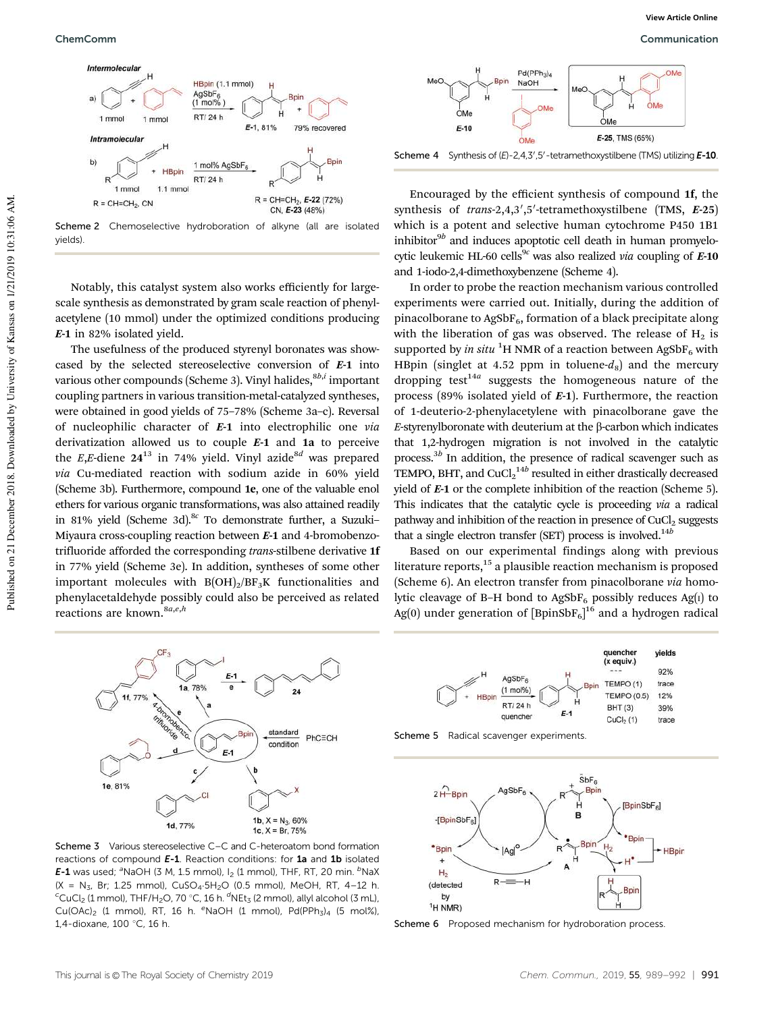



Notably, this catalyst system also works efficiently for largescale synthesis as demonstrated by gram scale reaction of phenylacetylene (10 mmol) under the optimized conditions producing E-1 in 82% isolated yield.

The usefulness of the produced styrenyl boronates was showcased by the selected stereoselective conversion of E-1 into various other compounds (Scheme 3). Vinyl halides, $^{8b,i}$  important coupling partners in various transition-metal-catalyzed syntheses, were obtained in good yields of 75–78% (Scheme 3a–c). Reversal of nucleophilic character of E-1 into electrophilic one *via* derivatization allowed us to couple  $E-1$  and  $1a$  to perceive the *E*,*E*-diene  $24^{13}$  in 74% yield. Vinyl azide<sup>8*d*</sup> was prepared *via* Cu-mediated reaction with sodium azide in 60% yield (Scheme 3b). Furthermore, compound 1e, one of the valuable enol ethers for various organic transformations, was also attained readily in 81% yield (Scheme 3d).<sup>8c</sup> To demonstrate further, a Suzuki-Miyaura cross-coupling reaction between E-1 and 4-bromobenzotrifluoride afforded the corresponding *trans*-stilbene derivative 1f in 77% yield (Scheme 3e). In addition, syntheses of some other important molecules with  $B(OH)_2/BF_3K$  functionalities and phenylacetaldehyde possibly could also be perceived as related reactions are known.<sup>8a,e,h</sup>



Scheme 3 Various stereoselective C–C and C-heteroatom bond formation reactions of compound E-1. Reaction conditions: for 1a and 1b isolated E-1 was used;  ${}^{a}$ NaOH (3 M, 1.5 mmol), I<sub>2</sub> (1 mmol), THF, RT, 20 min.  ${}^{b}$ NaX  $(X = N_3, Br; 1.25 mmol)$ ,  $CuSO_4·5H_2O$  (0.5 mmol), MeOH, RT, 4-12 h.  $\rm ^cCuCl_2$  (1 mmol), THF/H<sub>2</sub>O, 70  $\rm ^cC$ , 16 h.  $\rm ^dNEt_3$  (2 mmol), allyl alcohol (3 mL), Cu(OAc)<sub>2</sub> (1 mmol), RT, 16 h.  $e$ NaOH (1 mmol), Pd(PPh<sub>3</sub>)<sub>4</sub> (5 mol%), 1,4-dioxane, 100 °C, 16 h.



Scheme 4 Synthesis of (E)-2,4,3',5'-tetramethoxystilbene (TMS) utilizing E-10.

Encouraged by the efficient synthesis of compound 1f, the synthesis of *trans-2,4,3',5'*-tetramethoxystilbene (TMS, E-25) which is a potent and selective human cytochrome P450 1B1 inhibitor<sup>9b</sup> and induces apoptotic cell death in human promyelocytic leukemic HL-60 cells<sup>9c</sup> was also realized *via* coupling of  $E$ -10 and 1-iodo-2,4-dimethoxybenzene (Scheme 4).

In order to probe the reaction mechanism various controlled experiments were carried out. Initially, during the addition of pinacolborane to  $AgSbF_6$ , formation of a black precipitate along with the liberation of gas was observed. The release of  $H_2$  is supported by *in situ* <sup>1</sup>H NMR of a reaction between AgSbF<sub>6</sub> with HBpin (singlet at 4.52 ppm in toluene- $d_8$ ) and the mercury dropping test<sup>14a</sup> suggests the homogeneous nature of the process (89% isolated yield of E-1). Furthermore, the reaction of 1-deuterio-2-phenylacetylene with pinacolborane gave the  $E$ -styrenylboronate with deuterium at the  $\beta$ -carbon which indicates that 1,2-hydrogen migration is not involved in the catalytic process.<sup>3b</sup> In addition, the presence of radical scavenger such as TEMPO, BHT, and CuCl2<sup>14b</sup> resulted in either drastically decreased yield of E-1 or the complete inhibition of the reaction (Scheme 5). This indicates that the catalytic cycle is proceeding *via* a radical pathway and inhibition of the reaction in presence of CuCl<sub>2</sub> suggests that a single electron transfer (SET) process is involved.<sup>14b</sup>

Based on our experimental findings along with previous literature reports, $15$  a plausible reaction mechanism is proposed (Scheme 6). An electron transfer from pinacolborane *via* homolytic cleavage of B–H bond to  $AgSbF_6$  possibly reduces Ag(I) to Ag(0) under generation of  $[\text{BpinSbF}_6]^{16}$  and a hydrogen radical



Scheme 5 Radical scavenger experiments.



Scheme 6 Proposed mechanism for hydroboration process.